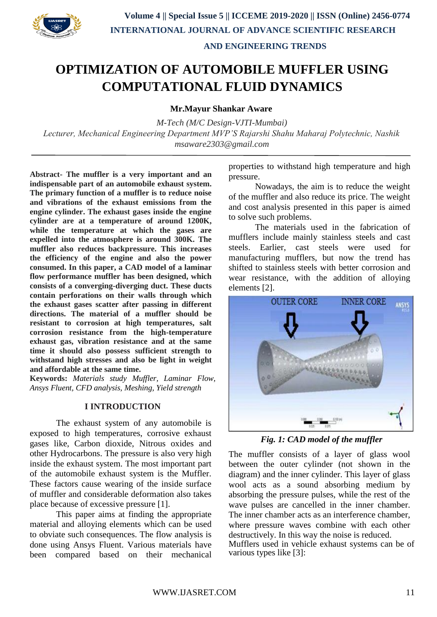

# **OPTIMIZATION OF AUTOMOBILE MUFFLER USING COMPUTATIONAL FLUID DYNAMICS**

**Mr.Mayur Shankar Aware**

*M-Tech (M/C Design-VJTI-Mumbai) Lecturer, Mechanical Engineering Department MVP'S Rajarshi Shahu Maharaj Polytechnic, Nashik msaware2303@gmail.com*

**Abstract- The muffler is a very important and an indispensable part of an automobile exhaust system. The primary function of a muffler is to reduce noise and vibrations of the exhaust emissions from the engine cylinder. The exhaust gases inside the engine cylinder are at a temperature of around 1200K, while the temperature at which the gases are expelled into the atmosphere is around 300K. The muffler also reduces backpressure. This increases the efficiency of the engine and also the power consumed. In this paper, a CAD model of a laminar flow performance muffler has been designed, which consists of a converging-diverging duct. These ducts contain perforations on their walls through which the exhaust gases scatter after passing in different directions. The material of a muffler should be resistant to corrosion at high temperatures, salt corrosion resistance from the high-temperature exhaust gas, vibration resistance and at the same time it should also possess sufficient strength to withstand high stresses and also be light in weight and affordable at the same time.**

**Keywords:** *Materials study Muffler, Laminar Flow, Ansys Fluent, CFD analysis, Meshing, Yield strength*

#### **I INTRODUCTION**

The exhaust system of any automobile is exposed to high temperatures, corrosive exhaust gases like, Carbon dioxide, Nitrous oxides and other Hydrocarbons. The pressure is also very high inside the exhaust system. The most important part of the automobile exhaust system is the Muffler. These factors cause wearing of the inside surface of muffler and considerable deformation also takes place because of excessive pressure [1].

This paper aims at finding the appropriate material and alloying elements which can be used to obviate such consequences. The flow analysis is done using Ansys Fluent. Various materials have been compared based on their mechanical properties to withstand high temperature and high pressure.

Nowadays, the aim is to reduce the weight of the muffler and also reduce its price. The weight and cost analysis presented in this paper is aimed to solve such problems.

The materials used in the fabrication of mufflers include mainly stainless steels and cast steels. Earlier, cast steels were used for manufacturing mufflers, but now the trend has shifted to stainless steels with better corrosion and wear resistance, with the addition of alloying elements [2].



*Fig. 1: CAD model of the muffler*

The muffler consists of a layer of glass wool between the outer cylinder (not shown in the diagram) and the inner cylinder. This layer of glass wool acts as a sound absorbing medium by absorbing the pressure pulses, while the rest of the wave pulses are cancelled in the inner chamber. The inner chamber acts as an interference chamber, where pressure waves combine with each other destructively. In this way the noise is reduced.

Mufflers used in vehicle exhaust systems can be of various types like [3]: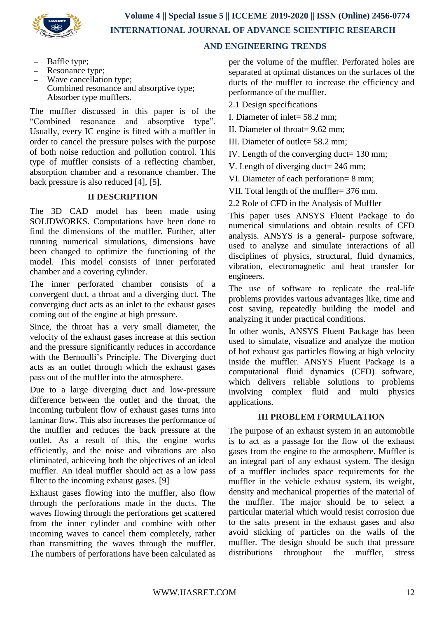

# **INTERNATIONAL JOURNAL OF ADVANCE SCIENTIFIC RESEARCH**

### **AND ENGINEERING TRENDS**

- Baffle type;
- Resonance type;
- Wave cancellation type;
- Combined resonance and absorptive type;
- Absorber type mufflers.

The muffler discussed in this paper is of the "Combined resonance and absorptive type". Usually, every IC engine is fitted with a muffler in order to cancel the pressure pulses with the purpose of both noise reduction and pollution control. This type of muffler consists of a reflecting chamber, absorption chamber and a resonance chamber. The back pressure is also reduced [4], [5].

# **II DESCRIPTION**

The 3D CAD model has been made using SOLIDWORKS. Computations have been done to find the dimensions of the muffler. Further, after running numerical simulations, dimensions have been changed to optimize the functioning of the model. This model consists of inner perforated chamber and a covering cylinder.

The inner perforated chamber consists of a convergent duct, a throat and a diverging duct. The converging duct acts as an inlet to the exhaust gases coming out of the engine at high pressure.

Since, the throat has a very small diameter, the velocity of the exhaust gases increase at this section and the pressure significantly reduces in accordance with the Bernoulli's Principle. The Diverging duct acts as an outlet through which the exhaust gases pass out of the muffler into the atmosphere.

Due to a large diverging duct and low-pressure difference between the outlet and the throat, the incoming turbulent flow of exhaust gases turns into laminar flow. This also increases the performance of the muffler and reduces the back pressure at the outlet. As a result of this, the engine works efficiently, and the noise and vibrations are also eliminated, achieving both the objectives of an ideal muffler. An ideal muffler should act as a low pass filter to the incoming exhaust gases. [9]

Exhaust gases flowing into the muffler, also flow through the perforations made in the ducts. The waves flowing through the perforations get scattered from the inner cylinder and combine with other incoming waves to cancel them completely, rather than transmitting the waves through the muffler. The numbers of perforations have been calculated as per the volume of the muffler. Perforated holes are separated at optimal distances on the surfaces of the ducts of the muffler to increase the efficiency and performance of the muffler.

2.1 Design specifications

I. Diameter of inlet= 58.2 mm;

II. Diameter of throat= 9.62 mm;

III. Diameter of outlet= 58.2 mm;

IV. Length of the converging duct= 130 mm;

V. Length of diverging duct= 246 mm;

VI. Diameter of each perforation= 8 mm;

VII. Total length of the muffler= 376 mm.

2.2 Role of CFD in the Analysis of Muffler

This paper uses ANSYS Fluent Package to do numerical simulations and obtain results of CFD analysis. ANSYS is a general- purpose software, used to analyze and simulate interactions of all disciplines of physics, structural, fluid dynamics, vibration, electromagnetic and heat transfer for engineers.

The use of software to replicate the real-life problems provides various advantages like, time and cost saving, repeatedly building the model and analyzing it under practical conditions.

In other words, ANSYS Fluent Package has been used to simulate, visualize and analyze the motion of hot exhaust gas particles flowing at high velocity inside the muffler. ANSYS Fluent Package is a computational fluid dynamics (CFD) software, which delivers reliable solutions to problems involving complex fluid and multi physics applications.

#### **III PROBLEM FORMULATION**

The purpose of an exhaust system in an automobile is to act as a passage for the flow of the exhaust gases from the engine to the atmosphere. Muffler is an integral part of any exhaust system. The design of a muffler includes space requirements for the muffler in the vehicle exhaust system, its weight, density and mechanical properties of the material of the muffler. The major should be to select a particular material which would resist corrosion due to the salts present in the exhaust gases and also avoid sticking of particles on the walls of the muffler. The design should be such that pressure distributions throughout the muffler, stress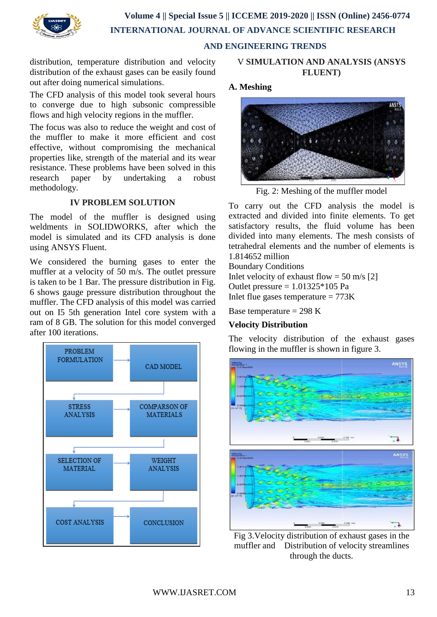

distribution, temperature distribution and velocity distribution of the exhaust gases can be easily found out after doing numerical simulations.

The CFD analysis of this model took several hours to converge due to high subsonic compressible flows and high velocity regions in the muffler.

The focus was also to reduce the weight and cost of the muffler to make it more efficient and cost effective, without compromising the mechanical properties like, strength of the material and its wear resistance. These problems have been solved in this research paper by undertaking a robust methodology.

# **IV PROBLEM SOLUTION**

The model of the muffler is designed using weldments in SOLIDWORKS, after which the model is simulated and its CFD analysis is done using ANSYS Fluent.

We considered the burning gases to enter the muffler at a velocity of 50 m/s. The outlet pressure is taken to be 1 Bar. The pressure distribution in Fig. 6 shows gauge pressure distribution throughout the muffler. The CFD analysis of this model was carried out on I5 5th generation Intel core system with a ram of 8 GB. The solution for this model converged after 100 iterations.



## V **SIMULATION AND ANALYSIS (ANSYS FLUENT)**

# **A. Meshing**



Fig. 2: Meshing of the muffler model

To carry out the CFD analysis the model is extracted and divided into finite elements. To get satisfactory results, the fluid volume has been divided into many elements. The mesh consists of tetrahedral elements and the number of elements is 1.814652 million

Boundary Conditions Inlet velocity of exhaust flow =  $50 \text{ m/s}$  [2] Outlet pressure  $= 1.01325*105$  Pa Inlet flue gases temperature  $= 773K$ 

Base temperature  $= 298$  K

# **Velocity Distribution**

The velocity distribution of the exhaust gases flowing in the muffler is shown in figure 3.



Fig 3.Velocity distribution of exhaust gases in the muffler and Distribution of velocity streamlines through the ducts.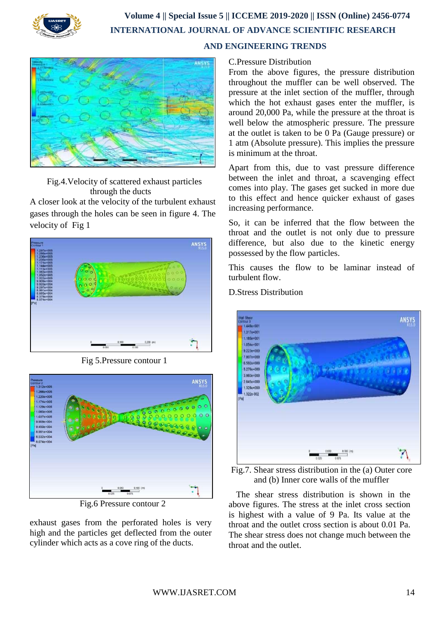

# **Volume 4 || Special Issue 5 || ICCEME 2019-2020 || ISSN (Online) 2456-0774 INTERNATIONAL JOURNAL OF ADVANCE SCIENTIFIC RESEARCH AND ENGINEERING TRENDS**



Fig.4.Velocity of scattered exhaust particles through the ducts

A closer look at the velocity of the turbulent exhaust gases through the holes can be seen in figure 4. The velocity of Fig 1



Fig 5.Pressure contour 1



Fig.6 Pressure contour 2

exhaust gases from the perforated holes is very high and the particles get deflected from the outer cylinder which acts as a cove ring of the ducts.

# C.Pressure Distribution

From the above figures, the pressure distribution throughout the muffler can be well observed. The pressure at the inlet section of the muffler, through which the hot exhaust gases enter the muffler, is around 20,000 Pa, while the pressure at the throat is well below the atmospheric pressure. The pressure at the outlet is taken to be 0 Pa (Gauge pressure) or 1 atm (Absolute pressure). This implies the pressure is minimum at the throat.

Apart from this, due to vast pressure difference between the inlet and throat, a scavenging effect comes into play. The gases get sucked in more due to this effect and hence quicker exhaust of gases increasing performance.

So, it can be inferred that the flow between the throat and the outlet is not only due to pressure difference, but also due to the kinetic energy possessed by the flow particles.

This causes the flow to be laminar instead of turbulent flow.

D.Stress Distribution



Fig.7. Shear stress distribution in the (a) Outer core and (b) Inner core walls of the muffler

The shear stress distribution is shown in the above figures. The stress at the inlet cross section is highest with a value of 9 Pa. Its value at the throat and the outlet cross section is about 0.01 Pa. The shear stress does not change much between the throat and the outlet.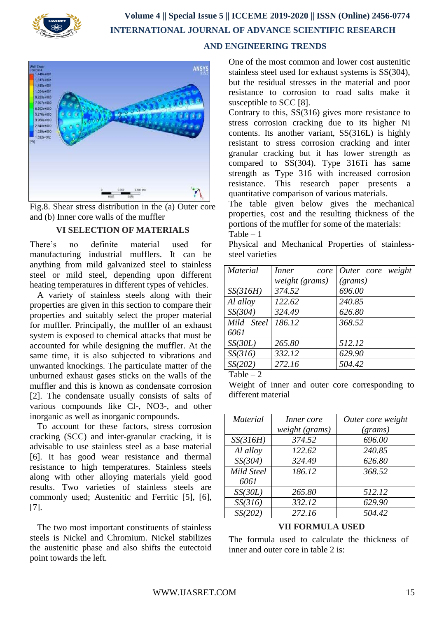



Fig.8. Shear stress distribution in the (a) Outer core and (b) Inner core walls of the muffler

### **VI SELECTION OF MATERIALS**

There's no definite material used for manufacturing industrial mufflers. It can be anything from mild galvanized steel to stainless steel or mild steel, depending upon different heating temperatures in different types of vehicles.

A variety of stainless steels along with their properties are given in this section to compare their properties and suitably select the proper material for muffler. Principally, the muffler of an exhaust system is exposed to chemical attacks that must be accounted for while designing the muffler. At the same time, it is also subjected to vibrations and unwanted knockings. The particulate matter of the unburned exhaust gases sticks on the walls of the muffler and this is known as condensate corrosion [2]. The condensate usually consists of salts of various compounds like Cl-, NO3-, and other inorganic as well as inorganic compounds.

To account for these factors, stress corrosion cracking (SCC) and inter-granular cracking, it is advisable to use stainless steel as a base material [6]. It has good wear resistance and thermal resistance to high temperatures. Stainless steels along with other alloying materials yield good results. Two varieties of stainless steels are commonly used; Austenitic and Ferritic [5], [6], [7].

The two most important constituents of stainless steels is Nickel and Chromium. Nickel stabilizes the austenitic phase and also shifts the eutectoid point towards the left.

One of the most common and lower cost austenitic stainless steel used for exhaust systems is SS(304), but the residual stresses in the material and poor resistance to corrosion to road salts make it susceptible to SCC [8].

Contrary to this, SS(316) gives more resistance to stress corrosion cracking due to its higher Ni contents. Its another variant, SS(316L) is highly resistant to stress corrosion cracking and inter granular cracking but it has lower strength as compared to SS(304). Type 316Ti has same strength as Type 316 with increased corrosion resistance. This research paper presents a quantitative comparison of various materials.

The table given below gives the mechanical properties, cost and the resulting thickness of the portions of the muffler for some of the materials:  $Table - 1$ 

Physical and Mechanical Properties of stainlesssteel varieties

| Inner<br>core  | Outer core weight |
|----------------|-------------------|
| weight (grams) | (grams)           |
| 374.52         | 696.00            |
| 122.62         | 240.85            |
| 324.49         | 626.80            |
| 186.12         | 368.52            |
|                |                   |
| 265.80         | 512.12            |
| 332.12         | 629.90            |
| 272.16         | 504.42            |
|                |                   |

Table – 2

Weight of inner and outer core corresponding to different material

| <b>Material</b> | Inner core     | Outer core weight |  |  |
|-----------------|----------------|-------------------|--|--|
|                 | weight (grams) | (grams)           |  |  |
| SS(316H)        | 374.52         | 696.00            |  |  |
| Al alloy        | 122.62         | 240.85            |  |  |
| SS(304)         | 324.49         | 626.80            |  |  |
| Mild Steel      | 186.12         | 368.52            |  |  |
| 6061            |                |                   |  |  |
| SS(30L)         | 265.80         | 512.12            |  |  |
| SS(316)         | 332.12         | 629.90            |  |  |
| SS(202)         | 272.16         | 504.42            |  |  |

#### **VII FORMULA USED**

The formula used to calculate the thickness of inner and outer core in table 2 is: